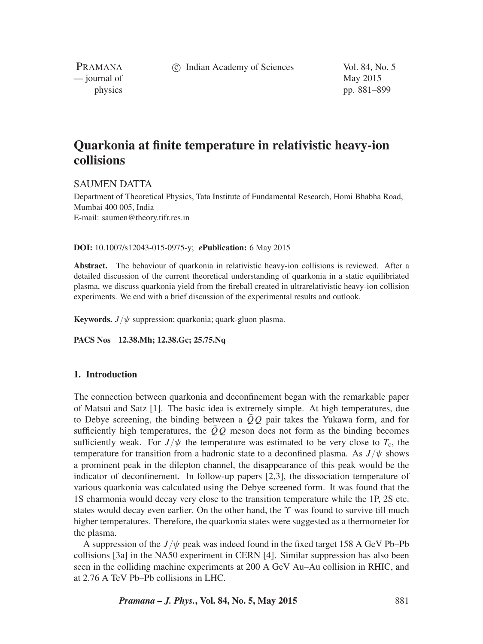c Indian Academy of Sciences Vol. 84, No. 5

PRAMANA — journal of May 2015

physics pp. 881–899

# **Quarkonia at finite temperature in relativistic heavy-ion collisions**

# SAUMEN DATTA

Department of Theoretical Physics, Tata Institute of Fundamental Research, Homi Bhabha Road, Mumbai 400 005, India E-mail: saumen@theory.tifr.res.in

## **DOI:** 10.1007/s12043-015-0975-y; *e***Publication:** 6 May 2015

**Abstract.** The behaviour of quarkonia in relativistic heavy-ion collisions is reviewed. After a detailed discussion of the current theoretical understanding of quarkonia in a static equilibriated plasma, we discuss quarkonia yield from the fireball created in ultrarelativistic heavy-ion collision experiments. We end with a brief discussion of the experimental results and outlook.

**Keywords.**  $J/\psi$  suppression; quarkonia; quark-gluon plasma.

**PACS Nos 12.38.Mh; 12.38.Gc; 25.75.Nq**

# **1. Introduction**

The connection between quarkonia and deconfinement began with the remarkable paper of Matsui and Satz [1]. The basic idea is extremely simple. At high temperatures, due to Debye screening, the binding between a  $\overline{O}O$  pair takes the Yukawa form, and for sufficiently high temperatures, the  $\overline{Q}Q$  meson does not form as the binding becomes sufficiently weak. For  $J/\psi$  the temperature was estimated to be very close to  $T_c$ , the temperature for transition from a hadronic state to a deconfined plasma. As  $J/\psi$  shows a prominent peak in the dilepton channel, the disappearance of this peak would be the indicator of deconfinement. In follow-up papers [2,3], the dissociation temperature of various quarkonia was calculated using the Debye screened form. It was found that the 1S charmonia would decay very close to the transition temperature while the 1P, 2S etc. states would decay even earlier. On the other hand, the *ϒ* was found to survive till much higher temperatures. Therefore, the quarkonia states were suggested as a thermometer for the plasma.

A suppression of the  $J/\psi$  peak was indeed found in the fixed target 158 A GeV Pb–Pb collisions [3a] in the NA50 experiment in CERN [4]. Similar suppression has also been seen in the colliding machine experiments at 200 A GeV Au–Au collision in RHIC, and at 2.76 A TeV Pb–Pb collisions in LHC.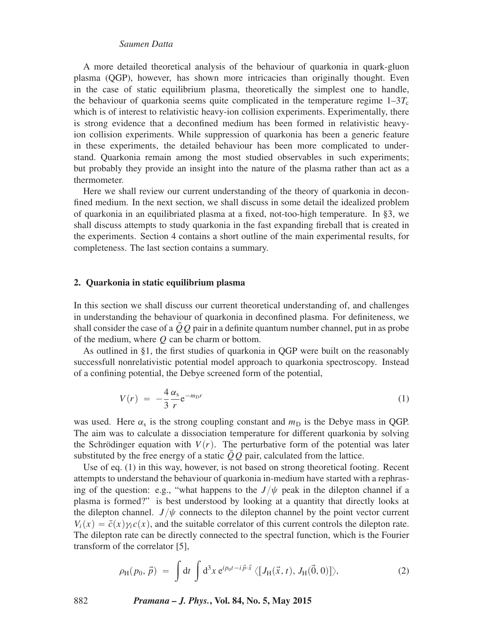A more detailed theoretical analysis of the behaviour of quarkonia in quark-gluon plasma (QGP), however, has shown more intricacies than originally thought. Even in the case of static equilibrium plasma, theoretically the simplest one to handle, the behaviour of quarkonia seems quite complicated in the temperature regime  $1-3T_c$ which is of interest to relativistic heavy-ion collision experiments. Experimentally, there is strong evidence that a deconfined medium has been formed in relativistic heavyion collision experiments. While suppression of quarkonia has been a generic feature in these experiments, the detailed behaviour has been more complicated to understand. Quarkonia remain among the most studied observables in such experiments; but probably they provide an insight into the nature of the plasma rather than act as a thermometer.

Here we shall review our current understanding of the theory of quarkonia in deconfined medium. In the next section, we shall discuss in some detail the idealized problem of quarkonia in an equilibriated plasma at a fixed, not-too-high temperature. In §3, we shall discuss attempts to study quarkonia in the fast expanding fireball that is created in the experiments. Section 4 contains a short outline of the main experimental results, for completeness. The last section contains a summary.

#### **2. Quarkonia in static equilibrium plasma**

In this section we shall discuss our current theoretical understanding of, and challenges in understanding the behaviour of quarkonia in deconfined plasma. For definiteness, we shall consider the case of a  $\overline{Q}Q$  pair in a definite quantum number channel, put in as probe of the medium, where *Q* can be charm or bottom.

As outlined in §1, the first studies of quarkonia in QGP were built on the reasonably successfull nonrelativistic potential model approach to quarkonia spectroscopy. Instead of a confining potential, the Debye screened form of the potential,

$$
V(r) = -\frac{4}{3} \frac{\alpha_s}{r} e^{-m_D r} \tag{1}
$$

was used. Here  $\alpha_s$  is the strong coupling constant and  $m_D$  is the Debye mass in QGP. The aim was to calculate a dissociation temperature for different quarkonia by solving the Schrödinger equation with  $V(r)$ . The perturbative form of the potential was later substituted by the free energy of a static  $\overline{Q}Q$  pair, calculated from the lattice.

Use of eq. (1) in this way, however, is not based on strong theoretical footing. Recent attempts to understand the behaviour of quarkonia in-medium have started with a rephrasing of the question: e.g., "what happens to the  $J/\psi$  peak in the dilepton channel if a plasma is formed?" is best understood by looking at a quantity that directly looks at the dilepton channel.  $J/\psi$  connects to the dilepton channel by the point vector current  $V_i(x) = \bar{c}(x)\gamma_i c(x)$ , and the suitable correlator of this current controls the dilepton rate. The dilepton rate can be directly connected to the spectral function, which is the Fourier transform of the correlator [5],

$$
\rho_H(p_0, \vec{p}) = \int dt \int d^3x \, e^{ip_0 t - i \vec{p} \cdot \vec{x}} \langle [J_H(\vec{x}, t), J_H(\vec{0}, 0)] \rangle, \tag{2}
$$

882 *Pramana – J. Phys.***, Vol. 84, No. 5, May 2015**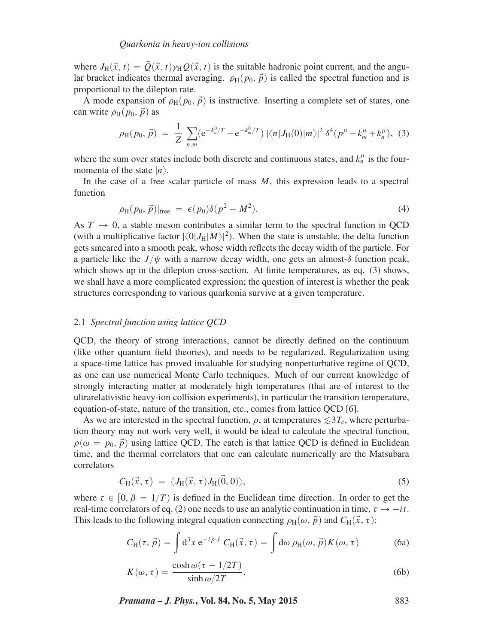where  $J_H(\vec{x},t) = \vec{Q}(\vec{x},t) \gamma_H Q(\vec{x},t)$  is the suitable hadronic point current, and the angular bracket indicates thermal averaging.  $\rho_H(p_0, \vec{p})$  is called the spectral function and is proportional to the dilepton rate.

A mode expansion of  $\rho_H(p_0, \vec{p})$  is instructive. Inserting a complete set of states, one can write  $\rho_H(p_0, \vec{p})$  as

$$
\rho_H(p_0, \vec{p}) = \frac{1}{Z} \sum_{n,m} (e^{-k_n^0/T} - e^{-k_m^0/T}) |\langle n| J_H(0) |m \rangle|^2 \delta^4(p^\mu - k_m^\mu + k_n^\mu), \quad (3)
$$

where the sum over states include both discrete and continuous states, and  $k_n^{\mu}$  is the fourmomenta of the state  $|n\rangle$ .

In the case of a free scalar particle of mass *M*, this expression leads to a spectral function

$$
\rho_H(p_0, \vec{p})|_{\text{free}} = \epsilon(p_0)\delta(p^2 - M^2). \tag{4}
$$

As  $T \rightarrow 0$ , a stable meson contributes a similar term to the spectral function in QCD (with a multiplicative factor  $|\langle 0|J_H|M\rangle|^2$ ). When the state is unstable, the delta function gets smeared into a smooth peak, whose width reflects the decay width of the particle. For a particle like the  $J/\psi$  with a narrow decay width, one gets an almost- $\delta$  function peak, which shows up in the dilepton cross-section. At finite temperatures, as eq. (3) shows, we shall have a more complicated expression; the question of interest is whether the peak structures corresponding to various quarkonia survive at a given temperature.

## 2.1 *Spectral function using lattice QCD*

QCD, the theory of strong interactions, cannot be directly defined on the continuum (like other quantum field theories), and needs to be regularized. Regularization using a space-time lattice has proved invaluable for studying nonperturbative regime of QCD, as one can use numerical Monte Carlo techniques. Much of our current knowledge of strongly interacting matter at moderately high temperatures (that are of interest to the ultrarelativistic heavy-ion collision experiments), in particular the transition temperature, equation-of-state, nature of the transition, etc., comes from lattice QCD [6].

As we are interested in the spectral function,  $\rho$ , at temperatures  $\leq 3T_c$ , where perturbation theory may not work very well, it would be ideal to calculate the spectral function,  $\rho(\omega = p_0, \vec{p})$  using lattice QCD. The catch is that lattice QCD is defined in Euclidean time, and the thermal correlators that one can calculate numerically are the Matsubara correlators

$$
C_{\mathrm{H}}(\vec{x},\tau) = \langle J_{\mathrm{H}}(\vec{x},\tau) J_{\mathrm{H}}(\vec{0},0) \rangle, \tag{5}
$$

where  $\tau \in [0, \beta = 1/T)$  is defined in the Euclidean time direction. In order to get the real-time correlators of eq. (2) one needs to use an analytic continuation in time,  $\tau \rightarrow -it$ . This leads to the following integral equation connecting  $\rho_H(\omega, \vec{p})$  and  $C_H(\vec{x}, \tau)$ :

$$
C_{\mathrm{H}}(\tau, \vec{p}) = \int d^3x \, e^{-i\vec{p}\cdot\vec{x}} \, C_{\mathrm{H}}(\vec{x}, \tau) = \int d\omega \, \rho_{\mathrm{H}}(\omega, \vec{p}) K(\omega, \tau) \tag{6a}
$$

$$
K(\omega, \tau) = \frac{\cosh \omega(\tau - 1/2T)}{\sinh \omega/2T}.
$$
 (6b)

*Pramana – J. Phys.***, Vol. 84, No. 5, May 2015** 883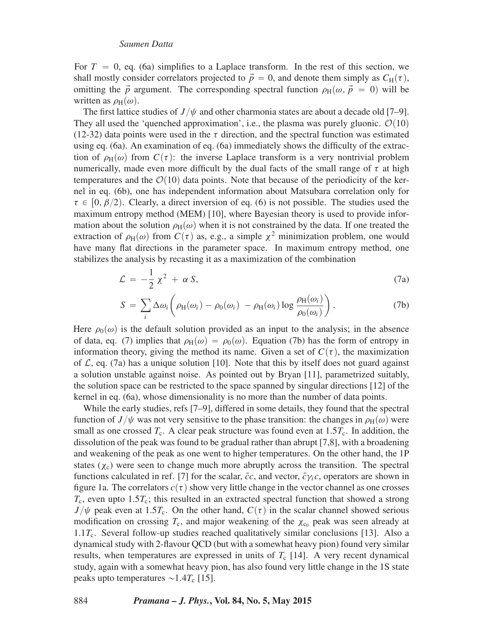For  $T = 0$ , eq. (6a) simplifies to a Laplace transform. In the rest of this section, we shall mostly consider correlators projected to  $\vec{p} = 0$ , and denote them simply as  $C_H(\tau)$ , omitting the  $\vec{p}$  argument. The corresponding spectral function  $\rho_H(\omega, \vec{p} = 0)$  will be written as  $\rho_H(\omega)$ .

The first lattice studies of  $J/\psi$  and other charmonia states are about a decade old [7–9]. They all used the 'quenched approximation', i.e., the plasma was purely gluonic.  $\mathcal{O}(10)$ (12-32) data points were used in the  $\tau$  direction, and the spectral function was estimated using eq. (6a). An examination of eq. (6a) immediately shows the difficulty of the extraction of  $\rho_H(\omega)$  from  $C(\tau)$ : the inverse Laplace transform is a very nontrivial problem numerically, made even more difficult by the dual facts of the small range of  $\tau$  at high temperatures and the  $\mathcal{O}(10)$  data points. Note that because of the periodicity of the kernel in eq. (6b), one has independent information about Matsubara correlation only for  $\tau \in [0, \beta/2)$ . Clearly, a direct inversion of eq. (6) is not possible. The studies used the maximum entropy method (MEM) [10], where Bayesian theory is used to provide information about the solution  $\rho_H(\omega)$  when it is not constrained by the data. If one treated the extraction of  $\rho_H(\omega)$  from  $C(\tau)$  as, e.g., a simple  $\chi^2$  minimization problem, one would have many flat directions in the parameter space. In maximum entropy method, one stabilizes the analysis by recasting it as a maximization of the combination

$$
\mathcal{L} = -\frac{1}{2} \chi^2 + \alpha S, \tag{7a}
$$

$$
S = \sum_{i} \Delta \omega_{i} \left( \rho_{H}(\omega_{i}) - \rho_{0}(\omega_{i}) - \rho_{H}(\omega_{i}) \log \frac{\rho_{H}(\omega_{i})}{\rho_{0}(\omega_{i})} \right).
$$
 (7b)

Here  $\rho_0(\omega)$  is the default solution provided as an input to the analysis; in the absence of data, eq. (7) implies that  $\rho_H(\omega) = \rho_0(\omega)$ . Equation (7b) has the form of entropy in information theory, giving the method its name. Given a set of  $C(\tau)$ , the maximization of  $\mathcal{L}$ , eq. (7a) has a unique solution [10]. Note that this by itself does not guard against a solution unstable against noise. As pointed out by Bryan [11], parametrized suitably, the solution space can be restricted to the space spanned by singular directions [12] of the kernel in eq. (6a), whose dimensionality is no more than the number of data points.

While the early studies, refs [7–9], differed in some details, they found that the spectral function of *J*/ $\psi$  was not very sensitive to the phase transition: the changes in  $\rho_H(\omega)$  were small as one crossed  $T_c$ . A clear peak structure was found even at  $1.5T_c$ . In addition, the dissolution of the peak was found to be gradual rather than abrupt [7,8], with a broadening and weakening of the peak as one went to higher temperatures. On the other hand, the 1P states  $(\chi_c)$  were seen to change much more abruptly across the transition. The spectral functions calculated in ref. [7] for the scalar,  $\bar{c}c$ , and vector,  $\bar{c}\gamma_i c$ , operators are shown in figure 1a. The correlators  $c(\tau)$  show very little change in the vector channel as one crosses  $T_c$ , even upto 1.5 $T_c$ ; this resulted in an extracted spectral function that showed a strong  $J/\psi$  peak even at 1.5 $T_c$ . On the other hand,  $C(\tau)$  in the scalar channel showed serious modification on crossing  $T_c$ , and major weakening of the  $\chi_{c_0}$  peak was seen already at 1.1*T*c. Several follow-up studies reached qualitatively similar conclusions [13]. Also a dynamical study with 2-flavour QCD (but with a somewhat heavy pion) found very similar results, when temperatures are expressed in units of  $T_c$  [14]. A very recent dynamical study, again with a somewhat heavy pion, has also found very little change in the 1S state peaks upto temperatures  $\sim$ 1.4 $T_c$  [15].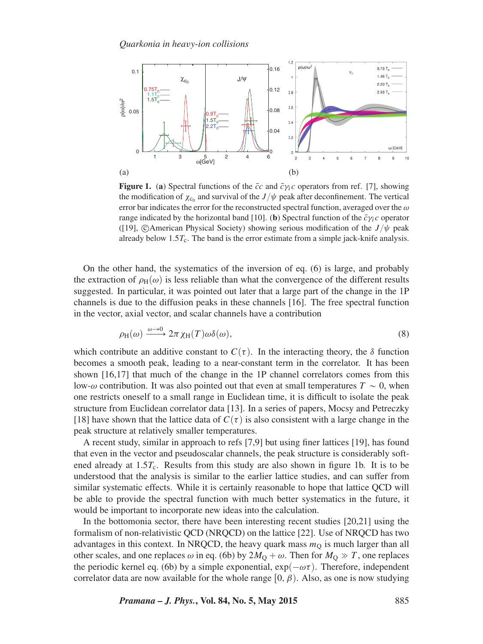

**Figure 1.** (a) Spectral functions of the  $\bar{c}c$  and  $\bar{c}\gamma_i c$  operators from ref. [7], showing the modification of  $\chi_{c_0}$  and survival of the  $J/\psi$  peak after deconfinement. The vertical error bar indicates the error for the reconstructed spectral function, averaged over the *ω* range indicated by the horizontal band [10]. (**b**) Spectral function of the  $\bar{c}\gamma_i c$  operator ([19],  $\bigcirc$ American Physical Society) showing serious modification of the *J* / $\psi$  peak already below  $1.5T_c$ . The band is the error estimate from a simple jack-knife analysis.

On the other hand, the systematics of the inversion of eq. (6) is large, and probably the extraction of  $\rho_H(\omega)$  is less reliable than what the convergence of the different results suggested. In particular, it was pointed out later that a large part of the change in the 1P channels is due to the diffusion peaks in these channels [16]. The free spectral function in the vector, axial vector, and scalar channels have a contribution

$$
\rho_H(\omega) \xrightarrow{\omega \to 0} 2\pi \chi_H(T) \omega \delta(\omega), \tag{8}
$$

which contribute an additive constant to  $C(\tau)$ . In the interacting theory, the *δ* function becomes a smooth peak, leading to a near-constant term in the correlator. It has been shown [16,17] that much of the change in the 1P channel correlators comes from this low- $\omega$  contribution. It was also pointed out that even at small temperatures  $T \sim 0$ , when one restricts oneself to a small range in Euclidean time, it is difficult to isolate the peak structure from Euclidean correlator data [13]. In a series of papers, Mocsy and Petreczky [18] have shown that the lattice data of  $C(\tau)$  is also consistent with a large change in the peak structure at relatively smaller temperatures.

A recent study, similar in approach to refs [7,9] but using finer lattices [19], has found that even in the vector and pseudoscalar channels, the peak structure is considerably softened already at  $1.5T_c$ . Results from this study are also shown in figure 1b. It is to be understood that the analysis is similar to the earlier lattice studies, and can suffer from similar systematic effects. While it is certainly reasonable to hope that lattice QCD will be able to provide the spectral function with much better systematics in the future, it would be important to incorporate new ideas into the calculation.

In the bottomonia sector, there have been interesting recent studies [20,21] using the formalism of non-relativistic QCD (NRQCD) on the lattice [22]. Use of NRQCD has two advantages in this context. In NRQCD, the heavy quark mass  $m<sub>O</sub>$  is much larger than all other scales, and one replaces  $\omega$  in eq. (6b) by  $2M<sub>O</sub> + \omega$ . Then for  $M<sub>O</sub> \gg T$ , one replaces the periodic kernel eq. (6b) by a simple exponential,  $\exp(-\omega \tau)$ . Therefore, independent correlator data are now available for the whole range  $[0, \beta)$ . Also, as one is now studying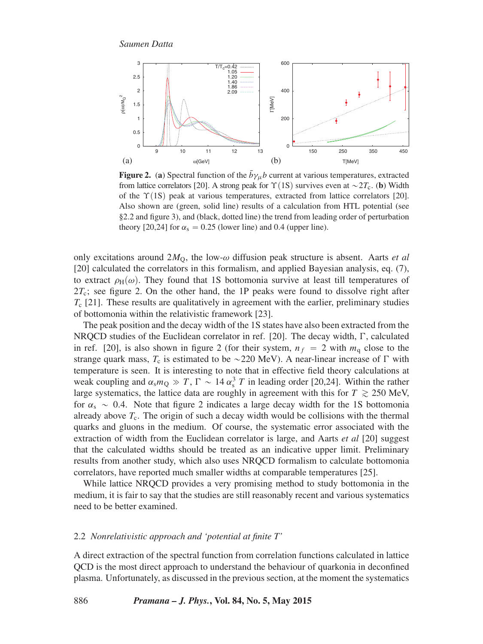

**Figure 2.** (a) Spectral function of the  $\bar{b}\gamma_{\mu}b$  current at various temperatures, extracted from lattice correlators [20]. A strong peak for  $\Upsilon(1S)$  survives even at  $\sim$  2 $T_c$ . (**b**) Width of the  $\Upsilon(1S)$  peak at various temperatures, extracted from lattice correlators [20]. Also shown are (green, solid line) results of a calculation from HTL potential (see §2.2 and figure 3), and (black, dotted line) the trend from leading order of perturbation theory [20,24] for  $\alpha_s = 0.25$  (lower line) and 0.4 (upper line).

only excitations around 2*M*Q, the low-*ω* diffusion peak structure is absent. Aarts *et al* [20] calculated the correlators in this formalism, and applied Bayesian analysis, eq. (7), to extract  $\rho_H(\omega)$ . They found that 1S bottomonia survive at least till temperatures of  $2T_c$ ; see figure 2. On the other hand, the 1P peaks were found to dissolve right after *T*<sup>c</sup> [21]. These results are qualitatively in agreement with the earlier, preliminary studies of bottomonia within the relativistic framework [23].

The peak position and the decay width of the 1S states have also been extracted from the NRQCD studies of the Euclidean correlator in ref. [20]. The decay width,  $\Gamma$ , calculated in ref. [20], is also shown in figure 2 (for their system,  $n_f = 2$  with  $m_q$  close to the strange quark mass,  $T_c$  is estimated to be  $\sim$ 220 MeV). A near-linear increase of  $\Gamma$  with temperature is seen. It is interesting to note that in effective field theory calculations at weak coupling and  $\alpha_s m_Q \gg T$ ,  $\Gamma \sim 14 \alpha_s^3 T$  in leading order [20,24]. Within the rather large systematics, the lattice data are roughly in agreement with this for  $T \ge 250$  MeV, for  $\alpha_s \sim 0.4$ . Note that figure 2 indicates a large decay width for the 1S bottomonia already above  $T_c$ . The origin of such a decay width would be collisions with the thermal quarks and gluons in the medium. Of course, the systematic error associated with the extraction of width from the Euclidean correlator is large, and Aarts *et al* [20] suggest that the calculated widths should be treated as an indicative upper limit. Preliminary results from another study, which also uses NRQCD formalism to calculate bottomonia correlators, have reported much smaller widths at comparable temperatures [25].

While lattice NRQCD provides a very promising method to study bottomonia in the medium, it is fair to say that the studies are still reasonably recent and various systematics need to be better examined.

#### 2.2 *Nonrelativistic approach and 'potential at finite T'*

A direct extraction of the spectral function from correlation functions calculated in lattice QCD is the most direct approach to understand the behaviour of quarkonia in deconfined plasma. Unfortunately, as discussed in the previous section, at the moment the systematics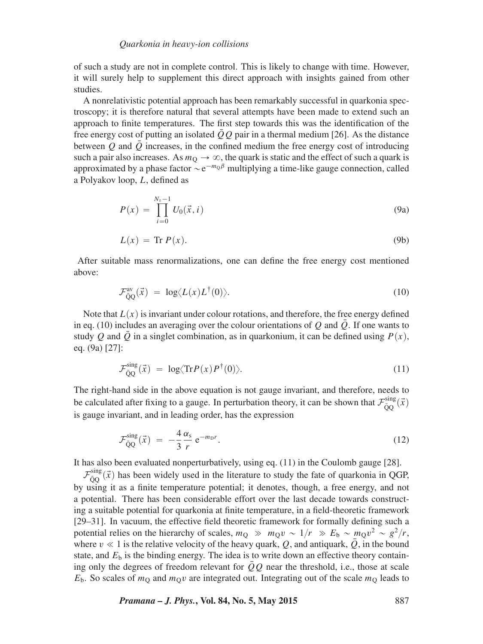of such a study are not in complete control. This is likely to change with time. However, it will surely help to supplement this direct approach with insights gained from other studies.

A nonrelativistic potential approach has been remarkably successful in quarkonia spectroscopy; it is therefore natural that several attempts have been made to extend such an approach to finite temperatures. The first step towards this was the identification of the free energy cost of putting an isolated  $\overline{O}O$  pair in a thermal medium [26]. As the distance between  $\hat{O}$  and  $\hat{O}$  increases, in the confined medium the free energy cost of introducing such a pair also increases. As  $m<sub>Q</sub> \rightarrow \infty$ , the quark is static and the effect of such a quark is approximated by a phase factor  $\sim e^{-m_0\beta}$  multiplying a time-like gauge connection, called a Polyakov loop, *L*, defined as

$$
P(x) = \prod_{i=0}^{N_{\tau}-1} U_0(\vec{x}, i)
$$
 (9a)

$$
L(x) = \text{Tr } P(x). \tag{9b}
$$

After suitable mass renormalizations, one can define the free energy cost mentioned above:

$$
\mathcal{F}_{\bar{Q}Q}^{\rm av}(\vec{x}) = \log \langle L(x)L^{\dagger}(0) \rangle. \tag{10}
$$

Note that  $L(x)$  is invariant under colour rotations, and therefore, the free energy defined in eq. (10) includes an averaging over the colour orientations of  $Q$  and  $Q$ . If one wants to study *Q* and *Q* in a singlet combination, as in quarkonium, it can be defined using  $P(x)$ , eq. (9a) [27]:

$$
\mathcal{F}_{\bar{Q}Q}^{\rm sing}(\vec{x}) = \log \langle \text{Tr} P(x) P^{\dagger}(0) \rangle. \tag{11}
$$

The right-hand side in the above equation is not gauge invariant, and therefore, needs to be calculated after fixing to a gauge. In perturbation theory, it can be shown that  $\mathcal{F}_{\bar{Q}Q}^{\text{sing}}(\vec{x})$ is gauge invariant, and in leading order, has the expression

$$
\mathcal{F}_{\bar{Q}Q}^{\rm sing}(\vec{x}) = -\frac{4}{3} \frac{\alpha_s}{r} e^{-m_D r}.
$$
\n(12)

It has also been evaluated nonperturbatively, using eq. (11) in the Coulomb gauge [28].

 $\mathcal{F}_{\bar{Q}Q}^{\text{sing}}(\vec{x})$  has been widely used in the literature to study the fate of quarkonia in QGP, by using it as a finite temperature potential; it denotes, though, a free energy, and not a potential. There has been considerable effort over the last decade towards constructing a suitable potential for quarkonia at finite temperature, in a field-theoretic framework [29–31]. In vacuum, the effective field theoretic framework for formally defining such a potential relies on the hierarchy of scales,  $m_Q \gg m_Q v \sim 1/r \gg E_b \sim m_Q v^2 \sim g^2/r$ , where  $v \ll 1$  is the relative velocity of the heavy quark, Q, and antiquark,  $\overline{Q}$ , in the bound state, and  $E<sub>b</sub>$  is the binding energy. The idea is to write down an effective theory containing only the degrees of freedom relevant for  $QQ$  near the threshold, i.e., those at scale  $E<sub>b</sub>$ . So scales of  $m<sub>O</sub>$  and  $m<sub>O</sub>v$  are integrated out. Integrating out of the scale  $m<sub>O</sub>$  leads to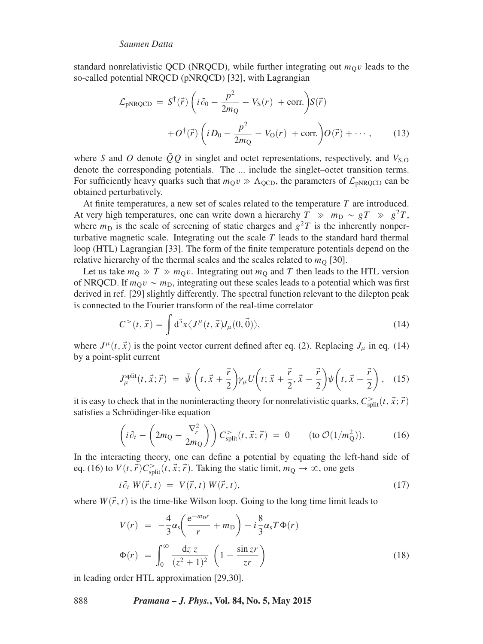standard nonrelativistic QCD (NRQCD), while further integrating out  $m<sub>O</sub>v$  leads to the so-called potential NRQCD (pNRQCD) [32], with Lagrangian

$$
\mathcal{L}_{\text{pNRQCD}} = S^{\dagger}(\vec{r}) \left( i \partial_0 - \frac{p^2}{2m_{\text{Q}}} - V_{\text{S}}(r) + \text{corr.} \right) S(\vec{r}) \n+ O^{\dagger}(\vec{r}) \left( i D_0 - \frac{p^2}{2m_{\text{Q}}} - V_{\text{O}}(r) + \text{corr.} \right) O(\vec{r}) + \cdots, \tag{13}
$$

where *S* and *O* denote  $\overline{Q}Q$  in singlet and octet representations, respectively, and  $V_{S,Q}$ denote the corresponding potentials. The ... include the singlet–octet transition terms. For sufficiently heavy quarks such that  $m<sub>Q</sub>v \gg \Lambda<sub>QCD</sub>$ , the parameters of  $\mathcal{L}_{pNRQCD}$  can be obtained perturbatively.

At finite temperatures, a new set of scales related to the temperature *T* are introduced. At very high temperatures, one can write down a hierarchy  $T \gg m_D \sim gT \gg g^2T$ , where  $m_D$  is the scale of screening of static charges and  $g^2T$  is the inherently nonperturbative magnetic scale. Integrating out the scale *T* leads to the standard hard thermal loop (HTL) Lagrangian [33]. The form of the finite temperature potentials depend on the relative hierarchy of the thermal scales and the scales related to  $m<sub>O</sub>$  [30].

Let us take  $m_Q \gg T \gg m_Q v$ . Integrating out  $m_Q$  and *T* then leads to the HTL version of NRQCD. If  $m_0v \sim m_D$ , integrating out these scales leads to a potential which was first derived in ref. [29] slightly differently. The spectral function relevant to the dilepton peak is connected to the Fourier transform of the real-time correlator

$$
C^{>}(t,\vec{x}) = \int d^{3}x \langle J^{\mu}(t,\vec{x})J_{\mu}(0,\vec{0})\rangle,
$$
 (14)

where  $J^{\mu}(t, \vec{x})$  is the point vector current defined after eq. (2). Replacing  $J_{\mu}$  in eq. (14) by a point-split current

$$
J_{\mu}^{\text{split}}(t, \vec{x}; \vec{r}) = \bar{\psi} \left( t, \vec{x} + \frac{\vec{r}}{2} \right) \gamma_{\mu} U \left( t; \vec{x} + \frac{\vec{r}}{2}, \vec{x} - \frac{\vec{r}}{2} \right) \psi \left( t, \vec{x} - \frac{\vec{r}}{2} \right), \quad (15)
$$

it is easy to check that in the noninteracting theory for nonrelativistic quarks,  $C_{\text{split}}^>(t, \vec{x}; \vec{r})$ satisfies a Schrödinger-like equation

$$
\left(i\partial_t - \left(2m_Q - \frac{\nabla_r^2}{2m_Q}\right)\right) C_{\text{split}}^>(t, \vec{x}; \vec{r}) = 0 \qquad \text{(to } \mathcal{O}(1/m_Q^2)). \tag{16}
$$

In the interacting theory, one can define a potential by equating the left-hand side of eq. (16) to  $V(t, \vec{r})C<sub>split</sub><sup>></sup>(t, \vec{x}; \vec{r})$ . Taking the static limit,  $m_Q \rightarrow \infty$ , one gets

$$
i\partial_t W(\vec{r},t) = V(\vec{r},t) W(\vec{r},t), \qquad (17)
$$

where  $W(\vec{r},t)$  is the time-like Wilson loop. Going to the long time limit leads to

$$
V(r) = -\frac{4}{3}\alpha_s \left(\frac{e^{-m_D r}}{r} + m_D\right) - i\frac{8}{3}\alpha_s T \Phi(r)
$$

$$
\Phi(r) = \int_0^\infty \frac{dz z}{(z^2 + 1)^2} \left(1 - \frac{\sin zr}{zr}\right)
$$
(18)

in leading order HTL approximation [29,30].

888 *Pramana – J. Phys.***, Vol. 84, No. 5, May 2015**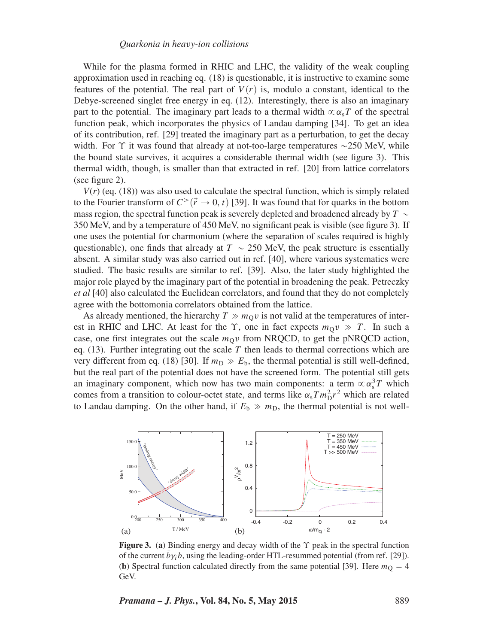While for the plasma formed in RHIC and LHC, the validity of the weak coupling approximation used in reaching eq. (18) is questionable, it is instructive to examine some features of the potential. The real part of  $V(r)$  is, modulo a constant, identical to the Debye-screened singlet free energy in eq. (12). Interestingly, there is also an imaginary part to the potential. The imaginary part leads to a thermal width  $\propto \alpha_s T$  of the spectral function peak, which incorporates the physics of Landau damping [34]. To get an idea of its contribution, ref. [29] treated the imaginary part as a perturbation, to get the decay width. For  $\Upsilon$  it was found that already at not-too-large temperatures  $\sim$ 250 MeV, while the bound state survives, it acquires a considerable thermal width (see figure 3). This thermal width, though, is smaller than that extracted in ref. [20] from lattice correlators (see figure 2).

 $V(r)$  (eq. (18)) was also used to calculate the spectral function, which is simply related to the Fourier transform of  $C<sup>{\rightarrow}</sup>$   $(\vec{r} \rightarrow 0, t)$  [39]. It was found that for quarks in the bottom mass region, the spectral function peak is severely depleted and broadened already by  $T \sim$ 350 MeV, and by a temperature of 450 MeV, no significant peak is visible (see figure 3). If one uses the potential for charmonium (where the separation of scales required is highly questionable), one finds that already at  $T \sim 250$  MeV, the peak structure is essentially absent. A similar study was also carried out in ref. [40], where various systematics were studied. The basic results are similar to ref. [39]. Also, the later study highlighted the major role played by the imaginary part of the potential in broadening the peak. Petreczky *et al* [40] also calculated the Euclidean correlators, and found that they do not completely agree with the bottomonia correlators obtained from the lattice.

As already mentioned, the hierarchy  $T \gg m<sub>O</sub>v$  is not valid at the temperatures of interest in RHIC and LHC. At least for the  $\Upsilon$ , one in fact expects  $m_0v \gg T$ . In such a case, one first integrates out the scale  $m<sub>O</sub>v$  from NRQCD, to get the pNRQCD action, eq.  $(13)$ . Further integrating out the scale T then leads to thermal corrections which are very different from eq. (18) [30]. If  $m_D \gg E_b$ , the thermal potential is still well-defined, but the real part of the potential does not have the screened form. The potential still gets an imaginary component, which now has two main components: a term  $\propto \alpha_s^3 T$  which comes from a transition to colour-octet state, and terms like  $\alpha_s T m_D^2 r^2$  which are related to Landau damping. On the other hand, if  $E<sub>b</sub> \gg m<sub>D</sub>$ , the thermal potential is not well-



**Figure 3.** (**a**) Binding energy and decay width of the *ϒ* peak in the spectral function of the current  $b\gamma_i b$ , using the leading-order HTL-resummed potential (from ref. [29]). (**b**) Spectral function calculated directly from the same potential [39]. Here  $m<sub>O</sub> = 4$ GeV.

*Pramana – J. Phys.***, Vol. 84, No. 5, May 2015** 889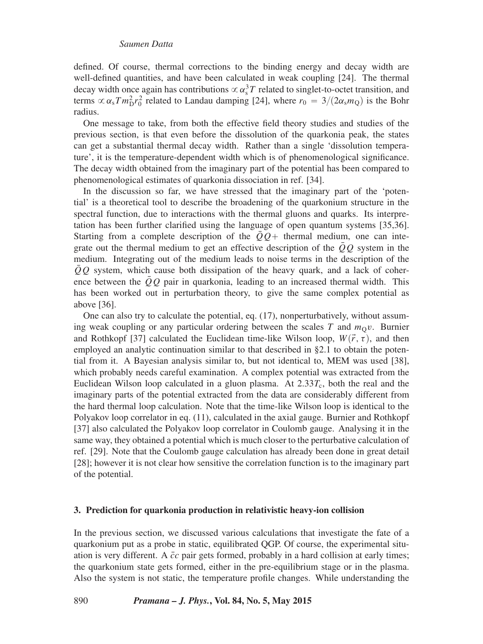defined. Of course, thermal corrections to the binding energy and decay width are well-defined quantities, and have been calculated in weak coupling [24]. The thermal decay width once again has contributions  $\propto \alpha_s^3 T$  related to singlet-to-octet transition, and terms  $\propto \alpha_s T m_D^2 r_0^2$  related to Landau damping [24], where  $r_0 = 3/(2\alpha_s m_Q)$  is the Bohr radius.

One message to take, from both the effective field theory studies and studies of the previous section, is that even before the dissolution of the quarkonia peak, the states can get a substantial thermal decay width. Rather than a single 'dissolution temperature', it is the temperature-dependent width which is of phenomenological significance. The decay width obtained from the imaginary part of the potential has been compared to phenomenological estimates of quarkonia dissociation in ref. [34].

In the discussion so far, we have stressed that the imaginary part of the 'potential' is a theoretical tool to describe the broadening of the quarkonium structure in the spectral function, due to interactions with the thermal gluons and quarks. Its interpretation has been further clarified using the language of open quantum systems [35,36]. Starting from a complete description of the  $QQ$ + thermal medium, one can integrate out the thermal medium to get an effective description of the *QQ*¯ system in the medium. Integrating out of the medium leads to noise terms in the description of the *QQ* system, which cause both dissipation of the heavy quark, and a lack of coherence between the  $\overline{Q}Q$  pair in quarkonia, leading to an increased thermal width. This has been worked out in perturbation theory, to give the same complex potential as above [36].

One can also try to calculate the potential, eq. (17), nonperturbatively, without assuming weak coupling or any particular ordering between the scales  $T$  and  $m<sub>Q</sub>v$ . Burnier and Rothkopf [37] calculated the Euclidean time-like Wilson loop,  $W(\vec{r}, \tau)$ , and then employed an analytic continuation similar to that described in §2.1 to obtain the potential from it. A Bayesian analysis similar to, but not identical to, MEM was used [38], which probably needs careful examination. A complex potential was extracted from the Euclidean Wilson loop calculated in a gluon plasma. At  $2.33T_c$ , both the real and the imaginary parts of the potential extracted from the data are considerably different from the hard thermal loop calculation. Note that the time-like Wilson loop is identical to the Polyakov loop correlator in eq. (11), calculated in the axial gauge. Burnier and Rothkopf [37] also calculated the Polyakov loop correlator in Coulomb gauge. Analysing it in the same way, they obtained a potential which is much closer to the perturbative calculation of ref. [29]. Note that the Coulomb gauge calculation has already been done in great detail [28]; however it is not clear how sensitive the correlation function is to the imaginary part of the potential.

#### **3. Prediction for quarkonia production in relativistic heavy-ion collision**

In the previous section, we discussed various calculations that investigate the fate of a quarkonium put as a probe in static, equilibrated QGP. Of course, the experimental situation is very different. A  $\bar{c}c$  pair gets formed, probably in a hard collision at early times; the quarkonium state gets formed, either in the pre-equilibrium stage or in the plasma. Also the system is not static, the temperature profile changes. While understanding the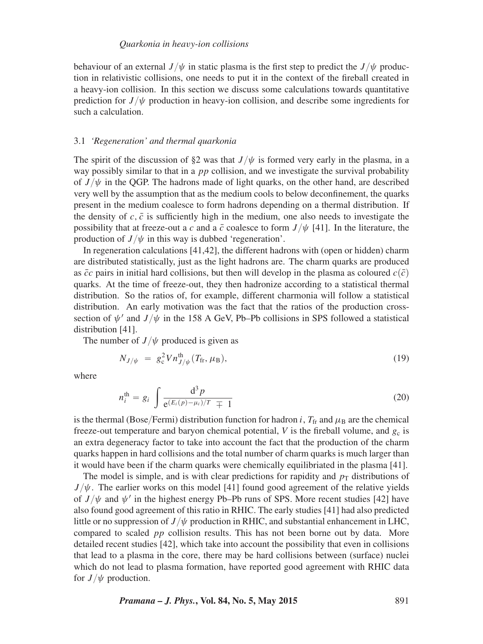behaviour of an external  $J/\psi$  in static plasma is the first step to predict the  $J/\psi$  production in relativistic collisions, one needs to put it in the context of the fireball created in a heavy-ion collision. In this section we discuss some calculations towards quantitative prediction for  $J/\psi$  production in heavy-ion collision, and describe some ingredients for such a calculation.

#### 3.1 *'Regeneration' and thermal quarkonia*

The spirit of the discussion of §2 was that  $J/\psi$  is formed very early in the plasma, in a way possibly similar to that in a *pp* collision, and we investigate the survival probability of  $J/\psi$  in the QGP. The hadrons made of light quarks, on the other hand, are described very well by the assumption that as the medium cools to below deconfinement, the quarks present in the medium coalesce to form hadrons depending on a thermal distribution. If the density of  $c$ ,  $\bar{c}$  is sufficiently high in the medium, one also needs to investigate the possibility that at freeze-out a *c* and a  $\bar{c}$  coalesce to form  $J/\psi$  [41]. In the literature, the production of  $J/\psi$  in this way is dubbed 'regeneration'.

In regeneration calculations [41,42], the different hadrons with (open or hidden) charm are distributed statistically, just as the light hadrons are. The charm quarks are produced as  $\bar{c}c$  pairs in initial hard collisions, but then will develop in the plasma as coloured  $c(\bar{c})$ quarks. At the time of freeze-out, they then hadronize according to a statistical thermal distribution. So the ratios of, for example, different charmonia will follow a statistical distribution. An early motivation was the fact that the ratios of the production crosssection of  $\psi'$  and  $J/\psi$  in the 158 A GeV, Pb–Pb collisions in SPS followed a statistical distribution [41].

The number of  $J/\psi$  produced is given as

$$
N_{J/\psi} = g_{\rm c}^2 V n_{J/\psi}^{\rm th}(T_{\rm fr}, \mu_{\rm B}), \tag{19}
$$

where

$$
n_i^{\text{th}} = g_i \int \frac{\mathrm{d}^3 p}{\mathrm{e}^{(E_i(p) - \mu_i)/T} \mp 1} \tag{20}
$$

is the thermal (Bose/Fermi) distribution function for hadron *i*,  $T_f$  and  $\mu_B$  are the chemical freeze-out temperature and baryon chemical potential,  $V$  is the fireball volume, and  $g_c$  is an extra degeneracy factor to take into account the fact that the production of the charm quarks happen in hard collisions and the total number of charm quarks is much larger than it would have been if the charm quarks were chemically equilibriated in the plasma [41].

The model is simple, and is with clear predictions for rapidity and  $p<sub>T</sub>$  distributions of  $J/\psi$ . The earlier works on this model [41] found good agreement of the relative yields of  $J/\psi$  and  $\psi'$  in the highest energy Pb–Pb runs of SPS. More recent studies [42] have also found good agreement of this ratio in RHIC. The early studies [41] had also predicted little or no suppression of  $J/\psi$  production in RHIC, and substantial enhancement in LHC, compared to scaled *pp* collision results. This has not been borne out by data. More detailed recent studies [42], which take into account the possibility that even in collisions that lead to a plasma in the core, there may be hard collisions between (surface) nuclei which do not lead to plasma formation, have reported good agreement with RHIC data for  $J/\psi$  production.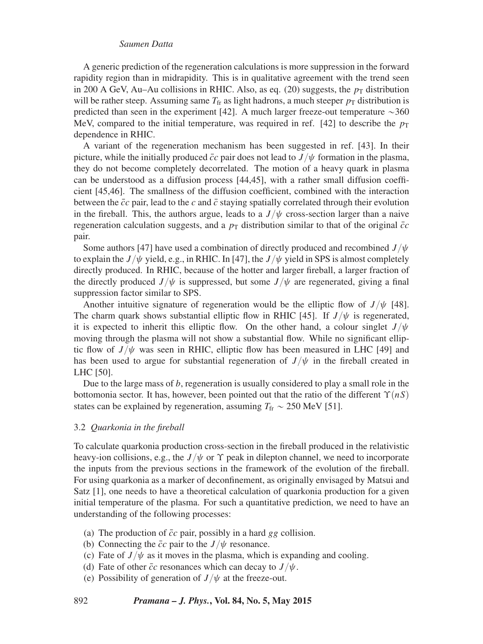A generic prediction of the regeneration calculations is more suppression in the forward rapidity region than in midrapidity. This is in qualitative agreement with the trend seen in 200 A GeV, Au–Au collisions in RHIC. Also, as eq. (20) suggests, the  $p<sub>T</sub>$  distribution will be rather steep. Assuming same  $T_f$  as light hadrons, a much steeper  $p_T$  distribution is predicted than seen in the experiment [42]. A much larger freeze-out temperature  $\sim$ 360 MeV, compared to the initial temperature, was required in ref.  $[42]$  to describe the  $p_T$ dependence in RHIC.

A variant of the regeneration mechanism has been suggested in ref. [43]. In their picture, while the initially produced  $\bar{c}c$  pair does not lead to  $J/\psi$  formation in the plasma, they do not become completely decorrelated. The motion of a heavy quark in plasma can be understood as a diffusion process [44,45], with a rather small diffusion coefficient [45,46]. The smallness of the diffusion coefficient, combined with the interaction between the  $\bar{c}c$  pair, lead to the  $c$  and  $\bar{c}$  staying spatially correlated through their evolution in the fireball. This, the authors argue, leads to a  $J/\psi$  cross-section larger than a naive regeneration calculation suggests, and a  $p<sub>T</sub>$  distribution similar to that of the original  $\bar{c}c$ pair.

Some authors [47] have used a combination of directly produced and recombined  $J/\psi$ to explain the  $J/\psi$  yield, e.g., in RHIC. In [47], the  $J/\psi$  yield in SPS is almost completely directly produced. In RHIC, because of the hotter and larger fireball, a larger fraction of the directly produced  $J/\psi$  is suppressed, but some  $J/\psi$  are regenerated, giving a final suppression factor similar to SPS.

Another intuitive signature of regeneration would be the elliptic flow of  $J/\psi$  [48]. The charm quark shows substantial elliptic flow in RHIC [45]. If  $J/\psi$  is regenerated, it is expected to inherit this elliptic flow. On the other hand, a colour singlet  $J/\psi$ moving through the plasma will not show a substantial flow. While no significant elliptic flow of  $J/\psi$  was seen in RHIC, elliptic flow has been measured in LHC [49] and has been used to argue for substantial regeneration of  $J/\psi$  in the fireball created in LHC [50].

Due to the large mass of *b*, regeneration is usually considered to play a small role in the bottomonia sector. It has, however, been pointed out that the ratio of the different  $\Upsilon(nS)$ states can be explained by regeneration, assuming  $T_{\text{fr}} \sim 250 \text{ MeV}$  [51].

## 3.2 *Quarkonia in the fireball*

To calculate quarkonia production cross-section in the fireball produced in the relativistic heavy-ion collisions, e.g., the  $J/\psi$  or  $\Upsilon$  peak in dilepton channel, we need to incorporate the inputs from the previous sections in the framework of the evolution of the fireball. For using quarkonia as a marker of deconfinement, as originally envisaged by Matsui and Satz [1], one needs to have a theoretical calculation of quarkonia production for a given initial temperature of the plasma. For such a quantitative prediction, we need to have an understanding of the following processes:

- (a) The production of  $\bar{c}c$  pair, possibly in a hard *gg* collision.
- (b) Connecting the  $\bar{c}c$  pair to the *J*  $/\psi$  resonance.
- (c) Fate of  $J/\psi$  as it moves in the plasma, which is expanding and cooling.
- (d) Fate of other  $\bar{c}c$  resonances which can decay to  $J/\psi$ .
- (e) Possibility of generation of  $J/\psi$  at the freeze-out.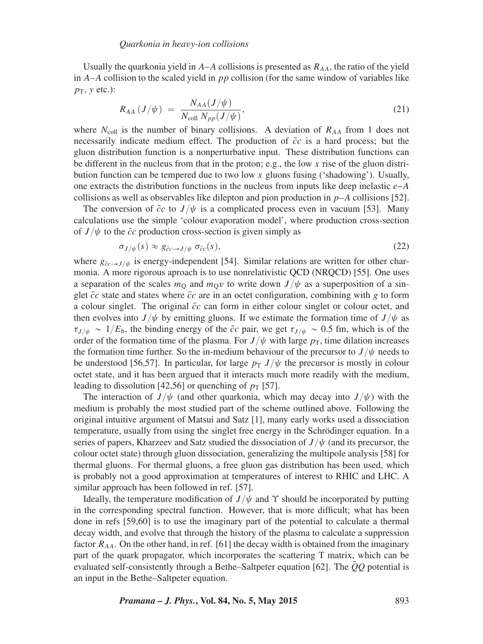Usually the quarkonia yield in  $A-A$  collisions is presented as  $R_{AA}$ , the ratio of the yield in *A*–*A* collision to the scaled yield in *pp* collision (for the same window of variables like  $p_T$ *, y* etc.):

$$
R_{AA} (J/\psi) = \frac{N_{AA}(J/\psi)}{N_{\text{coll}} N_{pp}(J/\psi)},
$$
\n(21)

where  $N_{\text{coll}}$  is the number of binary collisions. A deviation of  $R_{AA}$  from 1 does not necessarily indicate medium effect. The production of  $\bar{c}c$  is a hard process; but the gluon distribution function is a nonperturbative input. These distribution functions can be different in the nucleus from that in the proton; e.g., the low *x* rise of the gluon distribution function can be tempered due to two low *x* gluons fusing ('shadowing'). Usually, one extracts the distribution functions in the nucleus from inputs like deep inelastic *e*–*A* collisions as well as observables like dilepton and pion production in *p*–*A* collisions [52].

The conversion of  $\bar{c}c$  to  $J/\psi$  is a complicated process even in vacuum [53]. Many calculations use the simple 'colour evaporation model', where production cross-section of  $J/\psi$  to the  $\bar{c}c$  production cross-section is given simply as

$$
\sigma_{J/\psi}(s) \approx g_{\bar{c}c \to J/\psi} \sigma_{\bar{c}c}(s),\tag{22}
$$

where  $g_{\bar{c}c \to J/\psi}$  is energy-independent [54]. Similar relations are written for other charmonia. A more rigorous aproach is to use nonrelativistic QCD (NRQCD) [55]. One uses a separation of the scales  $m<sub>O</sub>$  and  $m<sub>O</sub>v$  to write down  $J/\psi$  as a superposition of a singlet  $\bar{c}c$  state and states where  $\bar{c}c$  are in an octet configuration, combining with *g* to form a colour singlet. The original  $\bar{c}c$  can form in either colour singlet or colour octet, and then evolves into  $J/\psi$  by emitting gluons. If we estimate the formation time of  $J/\psi$  as  $\tau_{J/\psi} \sim 1/E_b$ , the binding energy of the  $\bar{c}c$  pair, we get  $\tau_{J/\psi} \sim 0.5$  fm, which is of the order of the formation time of the plasma. For  $J/\psi$  with large  $p<sub>T</sub>$ , time dilation increases the formation time further. So the in-medium behaviour of the precursor to  $J/\psi$  needs to be understood [56,57]. In particular, for large  $p<sub>T</sub> J/\psi$  the precursor is mostly in colour octet state, and it has been argued that it interacts much more readily with the medium, leading to dissolution [42,56] or quenching of  $p_T$  [57].

The interaction of  $J/\psi$  (and other quarkonia, which may decay into  $J/\psi$ ) with the medium is probably the most studied part of the scheme outlined above. Following the original intuitive argument of Matsui and Satz [1], many early works used a dissociation temperature, usually from using the singlet free energy in the Schrödinger equation. In a series of papers, Kharzeev and Satz studied the dissociation of  $J/\psi$  (and its precursor, the colour octet state) through gluon dissociation, generalizing the multipole analysis [58] for thermal gluons. For thermal gluons, a free gluon gas distribution has been used, which is probably not a good approximation at temperatures of interest to RHIC and LHC. A similar approach has been followed in ref. [57].

Ideally, the temperature modification of  $J/\psi$  and  $\Upsilon$  should be incorporated by putting in the corresponding spectral function. However, that is more difficult; what has been done in refs [59,60] is to use the imaginary part of the potential to calculate a thermal decay width, and evolve that through the history of the plasma to calculate a suppression factor  $R_{AA}$ . On the other hand, in ref. [61] the decay width is obtained from the imaginary part of the quark propagator, which incorporates the scattering T matrix, which can be evaluated self-consistently through a Bethe–Saltpeter equation [62]. The *QQ* potential is an input in the Bethe–Saltpeter equation.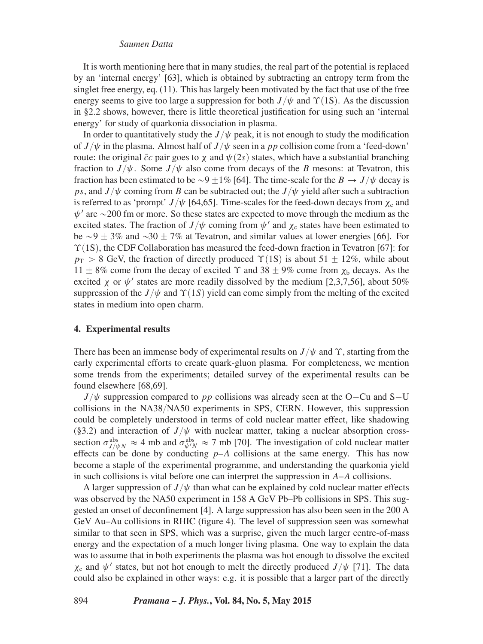It is worth mentioning here that in many studies, the real part of the potential is replaced by an 'internal energy' [63], which is obtained by subtracting an entropy term from the singlet free energy, eq. (11). This has largely been motivated by the fact that use of the free energy seems to give too large a suppression for both  $J/\psi$  and  $\Upsilon(1S)$ . As the discussion in §2.2 shows, however, there is little theoretical justification for using such an 'internal energy' for study of quarkonia dissociation in plasma.

In order to quantitatively study the  $J/\psi$  peak, it is not enough to study the modification of  $J/\psi$  in the plasma. Almost half of  $J/\psi$  seen in a *pp* collision come from a 'feed-down' route: the original  $\bar{c}c$  pair goes to *χ* and  $\psi(2s)$  states, which have a substantial branching fraction to  $J/\psi$ . Some  $J/\psi$  also come from decays of the *B* mesons: at Tevatron, this fraction has been estimated to be  $\sim$ 9  $\pm$ 1% [64]. The time-scale for the *B*  $\rightarrow$  *J*/ $\psi$  decay is *ps*, and  $J/\psi$  coming from *B* can be subtracted out; the  $J/\psi$  yield after such a subtraction is referred to as 'prompt'  $J/\psi$  [64,65]. Time-scales for the feed-down decays from  $\chi_c$  and  $\psi'$  are  $\sim$  200 fm or more. So these states are expected to move through the medium as the excited states. The fraction of  $J/\psi$  coming from  $\psi'$  and  $\chi_c$  states have been estimated to be  $\sim$ 9  $\pm$  3% and  $\sim$ 30  $\pm$  7% at Tevatron, and similar values at lower energies [66]. For *Y*(1S), the CDF Collaboration has measured the feed-down fraction in Tevatron [67]: for  $p_T > 8$  GeV, the fraction of directly produced  $\Upsilon(1S)$  is about 51  $\pm$  12%, while about 11  $\pm$  8% come from the decay of excited  $\Upsilon$  and 38  $\pm$  9% come from  $\chi$ <sub>b</sub> decays. As the excited *χ* or  $\psi'$  states are more readily dissolved by the medium [2,3,7,56], about 50% suppression of the  $J/\psi$  and  $\Upsilon(1S)$  yield can come simply from the melting of the excited states in medium into open charm.

#### **4. Experimental results**

There has been an immense body of experimental results on  $J/\psi$  and  $\Upsilon$ , starting from the early experimental efforts to create quark-gluon plasma. For completeness, we mention some trends from the experiments; detailed survey of the experimental results can be found elsewhere [68,69].

 $J/\psi$  suppression compared to *pp* collisions was already seen at the O–Cu and S–U collisions in the NA38{NA50 experiments in SPS, CERN. However, this suppression could be completely understood in terms of cold nuclear matter effect, like shadowing (§3.2) and interaction of  $J/\psi$  with nuclear matter, taking a nuclear absorption crosssection  $\sigma_{J/\psi N}^{abs} \approx 4$  mb and  $\sigma_{\psi' N}^{abs} \approx 7$  mb [70]. The investigation of cold nuclear matter effects can be done by conducting  $p-A$  collisions at the same energy. This has now become a staple of the experimental programme, and understanding the quarkonia yield in such collisions is vital before one can interpret the suppression in *A*–*A* collisions.

A larger suppression of  $J/\psi$  than what can be explained by cold nuclear matter effects was observed by the NA50 experiment in 158 A GeV Pb–Pb collisions in SPS. This suggested an onset of deconfinement [4]. A large suppression has also been seen in the 200 A GeV Au–Au collisions in RHIC (figure 4). The level of suppression seen was somewhat similar to that seen in SPS, which was a surprise, given the much larger centre-of-mass energy and the expectation of a much longer living plasma. One way to explain the data was to assume that in both experiments the plasma was hot enough to dissolve the excited  $\chi_c$  and  $\psi'$  states, but not hot enough to melt the directly produced *J* / $\psi$  [71]. The data could also be explained in other ways: e.g. it is possible that a larger part of the directly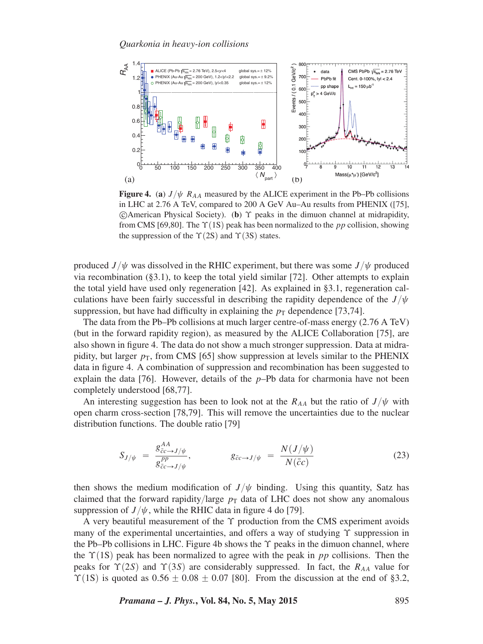

**Figure 4.** (a)  $J/\psi$   $R_{AA}$  measured by the ALICE experiment in the Pb–Pb collisions in LHC at 2.76 A TeV, compared to 200 A GeV Au–Au results from PHENIX ([75], -c American Physical Society). (**b**) *ϒ* peaks in the dimuon channel at midrapidity, from CMS [69,80]. The  $\Upsilon(1S)$  peak has been normalized to the *pp* collision, showing the suppression of the  $\Upsilon(2S)$  and  $\Upsilon(3S)$  states.

produced *J*  $/\psi$  was dissolved in the RHIC experiment, but there was some *J*  $/\psi$  produced via recombination  $(\S 3.1)$ , to keep the total yield similar [72]. Other attempts to explain the total yield have used only regeneration [42]. As explained in §3.1, regeneration calculations have been fairly successful in describing the rapidity dependence of the  $J/\psi$ suppression, but have had difficulty in explaining the  $p<sub>T</sub>$  dependence [73,74].

The data from the Pb–Pb collisions at much larger centre-of-mass energy (2.76 A TeV) (but in the forward rapidity region), as measured by the ALICE Collaboration [75], are also shown in figure 4. The data do not show a much stronger suppression. Data at midrapidity, but larger  $p<sub>T</sub>$ , from CMS [65] show suppression at levels similar to the PHENIX data in figure 4. A combination of suppression and recombination has been suggested to explain the data  $[76]$ . However, details of the  $p$ –Pb data for charmonia have not been completely understood [68,77].

An interesting suggestion has been to look not at the  $R_{AA}$  but the ratio of  $J/\psi$  with open charm cross-section [78,79]. This will remove the uncertainties due to the nuclear distribution functions. The double ratio [79]

$$
S_{J/\psi} = \frac{g_{\bar{c}c \to J/\psi}^{AA}}{g_{\bar{c}c \to J/\psi}^{PP}}, \qquad g_{\bar{c}c \to J/\psi} = \frac{N(J/\psi)}{N(\bar{c}c)} \qquad (23)
$$

then shows the medium modification of  $J/\psi$  binding. Using this quantity, Satz has claimed that the forward rapidity/large  $p<sub>T</sub>$  data of LHC does not show any anomalous suppression of  $J/\psi$ , while the RHIC data in figure 4 do [79].

A very beautiful measurement of the *ϒ* production from the CMS experiment avoids many of the experimental uncertainties, and offers a way of studying *ϒ* suppression in the Pb–Pb collisions in LHC. Figure 4b shows the *ϒ* peaks in the dimuon channel, where the  $\Upsilon(1S)$  peak has been normalized to agree with the peak in *pp* collisions. Then the peaks for  $\Upsilon(2S)$  and  $\Upsilon(3S)$  are considerably suppressed. In fact, the  $R_{AA}$  value for  $\Upsilon(1S)$  is quoted as  $0.56 \pm 0.08 \pm 0.07$  [80]. From the discussion at the end of §3.2,

*Pramana – J. Phys.***, Vol. 84, No. 5, May 2015** 895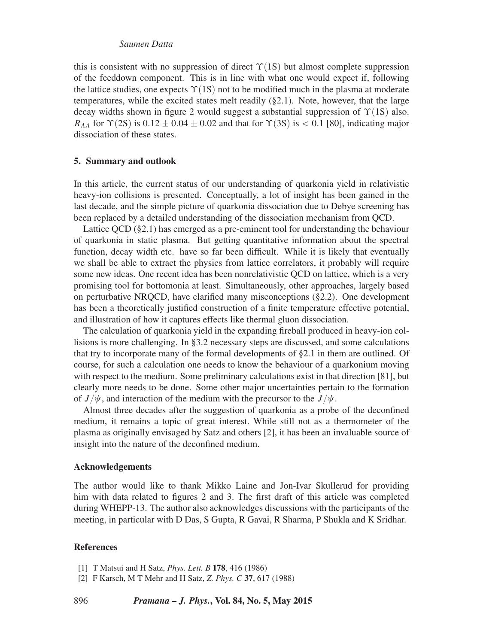this is consistent with no suppression of direct  $\Upsilon(1S)$  but almost complete suppression of the feeddown component. This is in line with what one would expect if, following the lattice studies, one expects  $\Upsilon(1S)$  not to be modified much in the plasma at moderate temperatures, while the excited states melt readily  $(\S 2.1)$ . Note, however, that the large decay widths shown in figure 2 would suggest a substantial suppression of  $\Upsilon(1S)$  also. *R<sub>AA</sub>* for  $\Upsilon$ (2S) is 0*.*12  $\pm$  0*.*04  $\pm$  0*.*02 and that for  $\Upsilon$ (3S) is < 0.1 [80], indicating major dissociation of these states.

## **5. Summary and outlook**

In this article, the current status of our understanding of quarkonia yield in relativistic heavy-ion collisions is presented. Conceptually, a lot of insight has been gained in the last decade, and the simple picture of quarkonia dissociation due to Debye screening has been replaced by a detailed understanding of the dissociation mechanism from QCD.

Lattice QCD (§2.1) has emerged as a pre-eminent tool for understanding the behaviour of quarkonia in static plasma. But getting quantitative information about the spectral function, decay width etc. have so far been difficult. While it is likely that eventually we shall be able to extract the physics from lattice correlators, it probably will require some new ideas. One recent idea has been nonrelativistic QCD on lattice, which is a very promising tool for bottomonia at least. Simultaneously, other approaches, largely based on perturbative NRQCD, have clarified many misconceptions (§2.2). One development has been a theoretically justified construction of a finite temperature effective potential, and illustration of how it captures effects like thermal gluon dissociation.

The calculation of quarkonia yield in the expanding fireball produced in heavy-ion collisions is more challenging. In §3.2 necessary steps are discussed, and some calculations that try to incorporate many of the formal developments of §2.1 in them are outlined. Of course, for such a calculation one needs to know the behaviour of a quarkonium moving with respect to the medium. Some preliminary calculations exist in that direction [81], but clearly more needs to be done. Some other major uncertainties pertain to the formation of  $J/\psi$ , and interaction of the medium with the precursor to the  $J/\psi$ .

Almost three decades after the suggestion of quarkonia as a probe of the deconfined medium, it remains a topic of great interest. While still not as a thermometer of the plasma as originally envisaged by Satz and others [2], it has been an invaluable source of insight into the nature of the deconfined medium.

#### **Acknowledgements**

The author would like to thank Mikko Laine and Jon-Ivar Skullerud for providing him with data related to figures 2 and 3. The first draft of this article was completed during WHEPP-13. The author also acknowledges discussions with the participants of the meeting, in particular with D Das, S Gupta, R Gavai, R Sharma, P Shukla and K Sridhar.

## **References**

[2] F Karsch, M T Mehr and H Satz, *Z. Phys. C* **37**, 617 (1988)

<sup>[1]</sup> T Matsui and H Satz, *Phys. Lett. B* **178**, 416 (1986)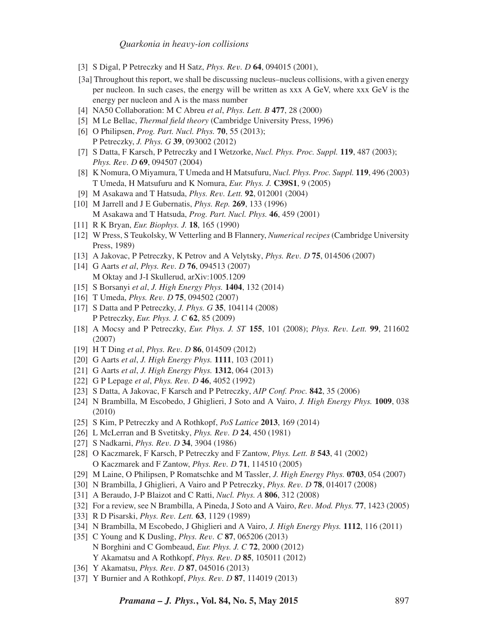- [3] S Digal, P Petreczky and H Satz, *Phys. Rev. D* **64**, 094015 (2001),
- [3a] Throughout this report, we shall be discussing nucleus–nucleus collisions, with a given energy per nucleon. In such cases, the energy will be written as xxx A GeV, where xxx GeV is the energy per nucleon and A is the mass number
- [4] NA50 Collaboration: M C Abreu *et al*, *Phys. Lett. B* **477**, 28 (2000)
- [5] M Le Bellac, *Thermal field theory* (Cambridge University Press, 1996)
- [6] O Philipsen, *Prog. Part. Nucl. Phys.* **70**, 55 (2013); P Petreczky, *J. Phys. G* **39**, 093002 (2012)
- [7] S Datta, F Karsch, P Petreczky and I Wetzorke, *Nucl. Phys. Proc. Suppl.* **119**, 487 (2003); *Phys. Rev. D* **69**, 094507 (2004)
- [8] K Nomura, O Miyamura, T Umeda and H Matsufuru, *Nucl. Phys. Proc. Suppl.* **119**, 496 (2003) T Umeda, H Matsufuru and K Nomura, *Eur. Phys. J.* **C39S1**, 9 (2005)
- [9] M Asakawa and T Hatsuda, *Phys. Rev. Lett.* **92**, 012001 (2004)
- [10] M Jarrell and J E Gubernatis, *Phys. Rep.* **269**, 133 (1996) M Asakawa and T Hatsuda, *Prog. Part. Nucl. Phys.* **46**, 459 (2001)
- [11] R K Bryan, *Eur. Biophys. J.* **18**, 165 (1990)
- [12] W Press, S Teukolsky, W Vetterling and B Flannery, *Numerical recipes* (Cambridge University Press, 1989)
- [13] A Jakovac, P Petreczky, K Petrov and A Velytsky, *Phys. Rev. D* **75**, 014506 (2007)
- [14] G Aarts *et al*, *Phys. Rev. D* **76**, 094513 (2007) M Oktay and J-I Skullerud, arXiv:1005.1209
- [15] S Borsanyi *et al*, *J. High Energy Phys.* **1404**, 132 (2014)
- [16] T Umeda, *Phys. Rev. D* **75**, 094502 (2007)
- [17] S Datta and P Petreczky, *J. Phys. G* **35**, 104114 (2008) P Petreczky, *Eur. Phys. J. C* **62**, 85 (2009)
- [18] A Mocsy and P Petreczky, *Eur. Phys. J. ST* **155**, 101 (2008); *Phys. Rev. Lett.* **99**, 211602 (2007)
- [19] H T Ding *et al*, *Phys. Rev. D* **86**, 014509 (2012)
- [20] G Aarts *et al*, *J. High Energy Phys.* **1111**, 103 (2011)
- [21] G Aarts *et al*, *J. High Energy Phys.* **1312**, 064 (2013)
- [22] G P Lepage *et al*, *Phys. Rev. D* **46**, 4052 (1992)
- [23] S Datta, A Jakovac, F Karsch and P Petreczky, *AIP Conf. Proc.* **842**, 35 (2006)
- [24] N Brambilla, M Escobedo, J Ghiglieri, J Soto and A Vairo, *J. High Energy Phys.* **1009**, 038 (2010)
- [25] S Kim, P Petreczky and A Rothkopf, *PoS Lattice* **2013**, 169 (2014)
- [26] L McLerran and B Svetitsky, *Phys. Rev. D* **24**, 450 (1981)
- [27] S Nadkarni, *Phys. Rev. D* **34**, 3904 (1986)
- [28] O Kaczmarek, F Karsch, P Petreczky and F Zantow, *Phys. Lett. B* **543**, 41 (2002) O Kaczmarek and F Zantow, *Phys. Rev. D* **71**, 114510 (2005)
- [29] M Laine, O Philipsen, P Romatschke and M Tassler, *J. High Energy Phys.* **0703**, 054 (2007)
- [30] N Brambilla, J Ghiglieri, A Vairo and P Petreczky, *Phys. Rev. D* **78**, 014017 (2008)
- [31] A Beraudo, J-P Blaizot and C Ratti, *Nucl. Phys. A* **806**, 312 (2008)
- [32] For a review, see N Brambilla, A Pineda, J Soto and A Vairo, *Rev. Mod. Phys.* **77**, 1423 (2005)
- [33] R D Pisarski, *Phys. Rev. Lett.* **63**, 1129 (1989)
- [34] N Brambilla, M Escobedo, J Ghiglieri and A Vairo, *J. High Energy Phys.* **1112**, 116 (2011)
- [35] C Young and K Dusling, *Phys. Rev. C* **87**, 065206 (2013) N Borghini and C Gombeaud, *Eur. Phys. J. C* **72**, 2000 (2012) Y Akamatsu and A Rothkopf, *Phys. Rev. D* **85**, 105011 (2012)
- [36] Y Akamatsu, *Phys. Rev. D* **87**, 045016 (2013)
- [37] Y Burnier and A Rothkopf, *Phys. Rev. D* **87**, 114019 (2013)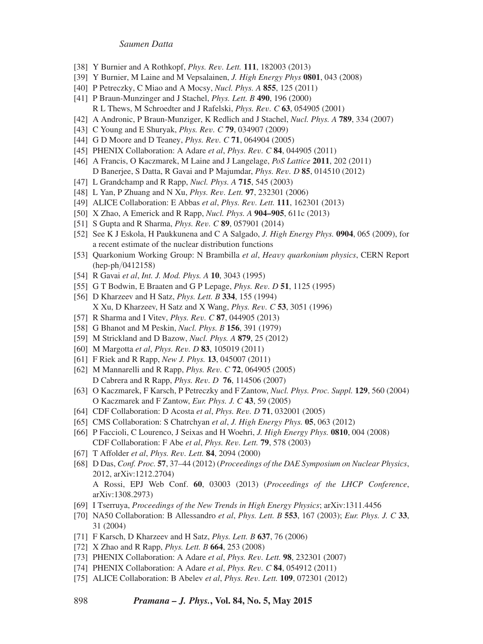- [38] Y Burnier and A Rothkopf, *Phys. Rev. Lett.* **111**, 182003 (2013)
- [39] Y Burnier, M Laine and M Vepsalainen, *J. High Energy Phys* **0801**, 043 (2008)
- [40] P Petreczky, C Miao and A Mocsy, *Nucl. Phys. A* **855**, 125 (2011)
- [41] P Braun-Munzinger and J Stachel, *Phys. Lett. B* **490**, 196 (2000) R L Thews, M Schroedter and J Rafelski, *Phys. Rev. C* **63**, 054905 (2001)
- [42] A Andronic, P Braun-Munziger, K Redlich and J Stachel, *Nucl. Phys. A* **789**, 334 (2007)
- [43] C Young and E Shuryak, *Phys. Rev. C* **79**, 034907 (2009)
- [44] G D Moore and D Teaney, *Phys. Rev. C* **71**, 064904 (2005)
- [45] PHENIX Collaboration: A Adare *et al*, *Phys. Rev. C* **84**, 044905 (2011)
- [46] A Francis, O Kaczmarek, M Laine and J Langelage, *PoS Lattice* **2011**, 202 (2011) D Banerjee, S Datta, R Gavai and P Majumdar, *Phys. Rev. D* **85**, 014510 (2012)
- [47] L Grandchamp and R Rapp, *Nucl. Phys. A* **715**, 545 (2003)
- [48] L Yan, P Zhuang and N Xu, *Phys. Rev. Lett.* **97**, 232301 (2006)
- [49] ALICE Collaboration: E Abbas *et al*, *Phys. Rev. Lett.* **111**, 162301 (2013)
- [50] X Zhao, A Emerick and R Rapp, *Nucl. Phys. A* **904–905**, 611c (2013)
- [51] S Gupta and R Sharma, *Phys. Rev. C* **89**, 057901 (2014)
- [52] See K J Eskola, H Paukkunena and C A Salgado, *J. High Energy Phys.* **0904**, 065 (2009), for a recent estimate of the nuclear distribution functions
- [53] Quarkonium Working Group: N Brambilla *et al*, *Heavy quarkonium physics*, CERN Report  $(hep-ph/0412158)$
- [54] R Gavai *et al*, *Int. J. Mod. Phys. A* **10**, 3043 (1995)
- [55] G T Bodwin, E Braaten and G P Lepage, *Phys. Rev. D* **51**, 1125 (1995)
- [56] D Kharzeev and H Satz, *Phys. Lett. B* **334**, 155 (1994) X Xu, D Kharzeev, H Satz and X Wang, *Phys. Rev. C* **53**, 3051 (1996)
- [57] R Sharma and I Vitev, *Phys. Rev. C* **87**, 044905 (2013)
- [58] G Bhanot and M Peskin, *Nucl. Phys. B* **156**, 391 (1979)
- [59] M Strickland and D Bazow, *Nucl. Phys. A* **879**, 25 (2012)
- [60] M Margotta *et al*, *Phys. Rev. D* **83**, 105019 (2011)
- [61] F Riek and R Rapp, *New J. Phys.* **13**, 045007 (2011)
- [62] M Mannarelli and R Rapp, *Phys. Rev. C* **72**, 064905 (2005) D Cabrera and R Rapp, *Phys. Rev. D* **76**, 114506 (2007)
- [63] O Kaczmarek, F Karsch, P Petreczky and F Zantow, *Nucl. Phys. Proc. Suppl.* **129**, 560 (2004) O Kaczmarek and F Zantow, *Eur. Phys. J. C* **43**, 59 (2005)
- [64] CDF Collaboration: D Acosta *et al*, *Phys. Rev. D* **71**, 032001 (2005)
- [65] CMS Collaboration: S Chatrchyan *et al*, *J. High Energy Phys.* **05**, 063 (2012)
- [66] P Faccioli, C Lourenco, J Seixas and H Woehri, *J. High Energy Phys.* **0810**, 004 (2008) CDF Collaboration: F Abe *et al*, *Phys. Rev. Lett.* **79**, 578 (2003)
- [67] T Affolder *et al*, *Phys. Rev. Lett.* **84**, 2094 (2000)
- [68] D Das, *Conf. Proc.* **57**, 37–44 (2012) (*Proceedings of the DAE Symposium on Nuclear Physics*, 2012, arXiv:1212.2704) A Rossi, EPJ Web Conf. **60**, 03003 (2013) (*Proceedings of the LHCP Conference*, arXiv:1308.2973)
- [69] I Tserruya, *Proceedings of the New Trends in High Energy Physics*; arXiv:1311.4456
- [70] NA50 Collaboration: B Allessandro *et al*, *Phys. Lett. B* **553**, 167 (2003); *Eur. Phys. J. C* **33**, 31 (2004)
- [71] F Karsch, D Kharzeev and H Satz, *Phys. Lett. B* **637**, 76 (2006)
- [72] X Zhao and R Rapp, *Phys. Lett. B* **664**, 253 (2008)
- [73] PHENIX Collaboration: A Adare *et al*, *Phys. Rev. Lett.* **98**, 232301 (2007)
- [74] PHENIX Collaboration: A Adare *et al*, *Phys. Rev. C* **84**, 054912 (2011)
- [75] ALICE Collaboration: B Abelev *et al*, *Phys. Rev. Lett.* **109**, 072301 (2012)